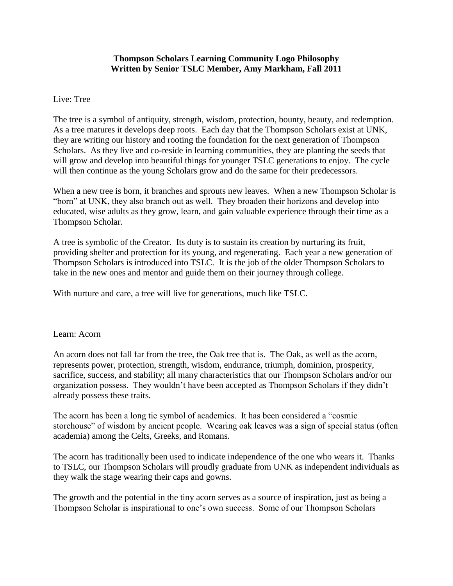### **Thompson Scholars Learning Community Logo Philosophy Written by Senior TSLC Member, Amy Markham, Fall 2011**

## Live: Tree

The tree is a symbol of antiquity, strength, wisdom, protection, bounty, beauty, and redemption. As a tree matures it develops deep roots. Each day that the Thompson Scholars exist at UNK, they are writing our history and rooting the foundation for the next generation of Thompson Scholars. As they live and co-reside in learning communities, they are planting the seeds that will grow and develop into beautiful things for younger TSLC generations to enjoy. The cycle will then continue as the young Scholars grow and do the same for their predecessors.

When a new tree is born, it branches and sprouts new leaves. When a new Thompson Scholar is "born" at UNK, they also branch out as well. They broaden their horizons and develop into educated, wise adults as they grow, learn, and gain valuable experience through their time as a Thompson Scholar.

A tree is symbolic of the Creator. Its duty is to sustain its creation by nurturing its fruit, providing shelter and protection for its young, and regenerating. Each year a new generation of Thompson Scholars is introduced into TSLC. It is the job of the older Thompson Scholars to take in the new ones and mentor and guide them on their journey through college.

With nurture and care, a tree will live for generations, much like TSLC.

### Learn: Acorn

An acorn does not fall far from the tree, the Oak tree that is. The Oak, as well as the acorn, represents power, protection, strength, wisdom, endurance, triumph, dominion, prosperity, sacrifice, success, and stability; all many characteristics that our Thompson Scholars and/or our organization possess. They wouldn't have been accepted as Thompson Scholars if they didn't already possess these traits.

The acorn has been a long tie symbol of academics. It has been considered a "cosmic storehouse" of wisdom by ancient people. Wearing oak leaves was a sign of special status (often academia) among the Celts, Greeks, and Romans.

The acorn has traditionally been used to indicate independence of the one who wears it. Thanks to TSLC, our Thompson Scholars will proudly graduate from UNK as independent individuals as they walk the stage wearing their caps and gowns.

The growth and the potential in the tiny acorn serves as a source of inspiration, just as being a Thompson Scholar is inspirational to one's own success. Some of our Thompson Scholars